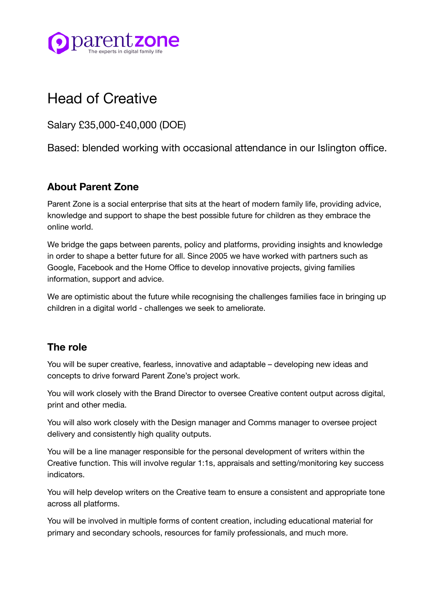

# Head of Creative

Salary £35,000-£40,000 (DOE)

Based: blended working with occasional attendance in our Islington office.

## **About Parent Zone**

Parent Zone is a social enterprise that sits at the heart of modern family life, providing advice, knowledge and support to shape the best possible future for children as they embrace the online world.

We bridge the gaps between parents, policy and platforms, providing insights and knowledge in order to shape a better future for all. Since 2005 we have worked with partners such as Google, Facebook and the Home Office to develop innovative projects, giving families information, support and advice.

We are optimistic about the future while recognising the challenges families face in bringing up children in a digital world - challenges we seek to ameliorate.

### **The role**

You will be super creative, fearless, innovative and adaptable – developing new ideas and concepts to drive forward Parent Zone's project work.

You will work closely with the Brand Director to oversee Creative content output across digital, print and other media.

You will also work closely with the Design manager and Comms manager to oversee project delivery and consistently high quality outputs.

You will be a line manager responsible for the personal development of writers within the Creative function. This will involve regular 1:1s, appraisals and setting/monitoring key success indicators.

You will help develop writers on the Creative team to ensure a consistent and appropriate tone across all platforms.

You will be involved in multiple forms of content creation, including educational material for primary and secondary schools, resources for family professionals, and much more.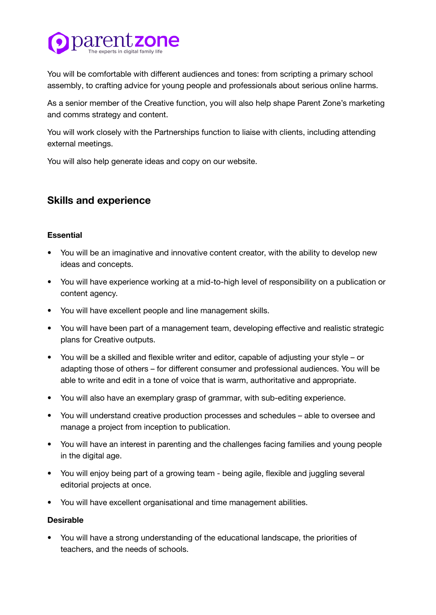

You will be comfortable with different audiences and tones: from scripting a primary school assembly, to crafting advice for young people and professionals about serious online harms.

As a senior member of the Creative function, you will also help shape Parent Zone's marketing and comms strategy and content.

You will work closely with the Partnerships function to liaise with clients, including attending external meetings.

You will also help generate ideas and copy on our website.

### **Skills and experience**

#### **Essential**

- You will be an imaginative and innovative content creator, with the ability to develop new ideas and concepts.
- You will have experience working at a mid-to-high level of responsibility on a publication or content agency.
- You will have excellent people and line management skills.
- You will have been part of a management team, developing effective and realistic strategic plans for Creative outputs.
- You will be a skilled and flexible writer and editor, capable of adjusting your style or adapting those of others – for different consumer and professional audiences. You will be able to write and edit in a tone of voice that is warm, authoritative and appropriate.
- You will also have an exemplary grasp of grammar, with sub-editing experience.
- You will understand creative production processes and schedules able to oversee and manage a project from inception to publication.
- You will have an interest in parenting and the challenges facing families and young people in the digital age.
- You will enjoy being part of a growing team being agile, flexible and juggling several editorial projects at once.
- You will have excellent organisational and time management abilities.

#### **Desirable**

• You will have a strong understanding of the educational landscape, the priorities of teachers, and the needs of schools.